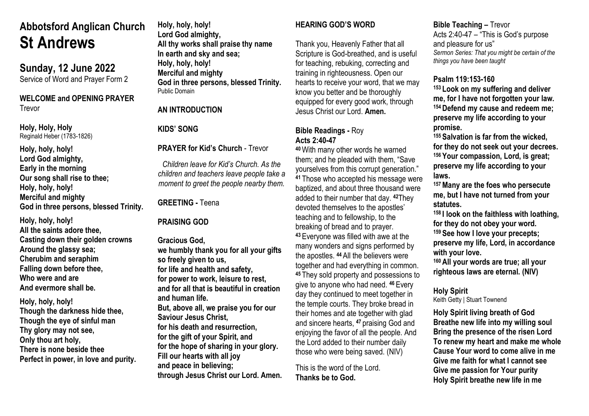# **Abbotsford Anglican Church St Andrews**

**Sunday, 12 June 2022**

Service of Word and Prayer Form 2

#### **WELCOME and OPENING PRAYER** Trevor

**Holy, Holy, Holy** Reginald Heber (1783-1826)

**Holy, holy, holy! Lord God almighty, Early in the morning Our song shall rise to thee; Holy, holy, holy! Merciful and mighty God in three persons, blessed Trinity.**

**Holy, holy, holy! All the saints adore thee, Casting down their golden crowns Around the glassy sea; Cherubim and seraphim Falling down before thee, Who were and are And evermore shall be.**

**Holy, holy, holy! Though the darkness hide thee, Though the eye of sinful man Thy glory may not see, Only thou art holy, There is none beside thee Perfect in power, in love and purity.** **Holy, holy, holy! Lord God almighty, All thy works shall praise thy name In earth and sky and sea; Holy, holy, holy! Merciful and mighty God in three persons, blessed Trinity.** Public Domain

## **AN INTRODUCTION**

## **KIDS' SONG**

**PRAYER for Kid's Church** - Trevor

*Children leave for Kid's Church. As the children and teachers leave people take a moment to greet the people nearby them.*

**GREETING -** Teena

#### **PRAISING GOD**

**Gracious God, we humbly thank you for all your gifts so freely given to us, for life and health and safety, for power to work, leisure to rest, and for all that is beautiful in creation and human life. But, above all, we praise you for our Saviour Jesus Christ, for his death and resurrection, for the gift of your Spirit, and for the hope of sharing in your glory. Fill our hearts with all joy and peace in believing; through Jesus Christ our Lord. Amen.**

# **HEARING GOD'S WORD**

Thank you, Heavenly Father that all Scripture is God-breathed, and is useful for teaching, rebuking, correcting and training in righteousness. Open our hearts to receive your word, that we may know you better and be thoroughly equipped for every good work, through Jesus Christ our Lord. **Amen.**

## **Bible Readings -** Roy **Acts 2:40-47**

**<sup>40</sup>**With many other words he warned them; and he pleaded with them, "Save yourselves from this corrupt generation." **<sup>41</sup>** Those who accepted his message were baptized, and about three thousand were added to their number that day. **<sup>42</sup>**They devoted themselves to the apostles' teaching and to fellowship, to the breaking of bread and to prayer.

**<sup>43</sup>** Everyone was filled with awe at the many wonders and signs performed by the apostles. **<sup>44</sup>** All the believers were together and had everything in common. **<sup>45</sup>** They sold property and possessions to give to anyone who had need. **<sup>46</sup>** Every day they continued to meet together in the temple courts. They broke bread in their homes and ate together with glad and sincere hearts, **<sup>47</sup>** praising God and enjoying the favor of all the people. And the Lord added to their number daily those who were being saved. (NIV)

This is the word of the Lord. **Thanks be to God.**

# **Bible Teaching –** Trevor

Acts 2:40-47 – "This is God's purpose and pleasure for us" *Sermon Series: That you might be certain of the things you have been taught* 

## **Psalm 119:153-160**

**<sup>153</sup> Look on my suffering and deliver me, for I have not forgotten your law. <sup>154</sup> Defend my cause and redeem me; preserve my life according to your promise.**

**<sup>155</sup> Salvation is far from the wicked, for they do not seek out your decrees. <sup>156</sup> Your compassion, Lord, is great; preserve my life according to your laws.**

**<sup>157</sup>Many are the foes who persecute me, but I have not turned from your statutes.**

**<sup>158</sup> I look on the faithless with loathing, for they do not obey your word. <sup>159</sup> See how I love your precepts; preserve my life, Lord, in accordance** 

**with your love.**

**<sup>160</sup> All your words are true; all your righteous laws are eternal. (NIV)**

**Holy Spirit** Keith Getty | Stuart Townend

**Holy Spirit living breath of God Breathe new life into my willing soul Bring the presence of the risen Lord To renew my heart and make me whole Cause Your word to come alive in me Give me faith for what I cannot see Give me passion for Your purity Holy Spirit breathe new life in me**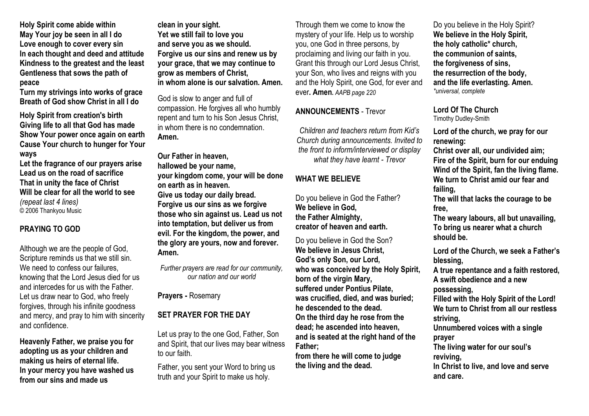**Holy Spirit come abide within May Your joy be seen in all I do Love enough to cover every sin In each thought and deed and attitude Kindness to the greatest and the least Gentleness that sows the path of peace**

**Turn my strivings into works of grace Breath of God show Christ in all I do**

**Holy Spirit from creation's birth Giving life to all that God has made Show Your power once again on earth Cause Your church to hunger for Your ways**

**Let the fragrance of our prayers arise Lead us on the road of sacrifice That in unity the face of Christ Will be clear for all the world to see** *(repeat last 4 lines)* © 2006 Thankyou Music

## **PRAYING TO GOD**

Although we are the people of God, Scripture reminds us that we still sin. We need to confess our failures. knowing that the Lord Jesus died for us and intercedes for us with the Father. Let us draw near to God, who freely forgives, through his infinite goodness and mercy, and pray to him with sincerity and confidence.

**Heavenly Father, we praise you for adopting us as your children and making us heirs of eternal life. In your mercy you have washed us from our sins and made us** 

**clean in your sight. Yet we still fail to love you and serve you as we should. Forgive us our sins and renew us by your grace, that we may continue to grow as members of Christ, in whom alone is our salvation. Amen.**

God is slow to anger and full of compassion. He forgives all who humbly repent and turn to his Son Jesus Christ, in whom there is no condemnation. **Amen.**

**Our Father in heaven, hallowed be your name, your kingdom come, your will be done on earth as in heaven. Give us today our daily bread. Forgive us our sins as we forgive those who sin against us. Lead us not into temptation, but deliver us from evil. For the kingdom, the power, and the glory are yours, now and forever. Amen.**

*Further prayers are read for our community, our nation and our world*

**Prayers -** Rosemary

## **SET PRAYER FOR THE DAY**

Let us pray to the one God, Father, Son and Spirit, that our lives may bear witness to our faith.

Father, you sent your Word to bring us truth and your Spirit to make us holy.

Through them we come to know the mystery of your life. Help us to worship you, one God in three persons, by proclaiming and living our faith in you. Grant this through our Lord Jesus Christ, your Son, who lives and reigns with you and the Holy Spirit, one God, for ever and ever**. Amen.** *AAPB page 220*

## **ANNOUNCEMENTS** - Trevor

*Children and teachers return from Kid's Church during announcements. Invited to the front to inform/interviewed or display what they have learnt - Trevor*

## **WHAT WE BELIEVE**

Do you believe in God the Father? **We believe in God, the Father Almighty, creator of heaven and earth.**

Do you believe in God the Son? **We believe in Jesus Christ, God's only Son, our Lord, who was conceived by the Holy Spirit, born of the virgin Mary, suffered under Pontius Pilate, was crucified, died, and was buried; he descended to the dead. On the third day he rose from the dead; he ascended into heaven, and is seated at the right hand of the Father;** 

**from there he will come to judge the living and the dead.**

Do you believe in the Holy Spirit? **We believe in the Holy Spirit, the holy catholic\* church, the communion of saints, the forgiveness of sins, the resurrection of the body, and the life everlasting. Amen.** *\*universal, complete*

**Lord Of The Church** Timothy Dudley-Smith

**Lord of the church, we pray for our renewing:**

**Christ over all, our undivided aim; Fire of the Spirit, burn for our enduing Wind of the Spirit, fan the living flame. We turn to Christ amid our fear and failing,**

**The will that lacks the courage to be free,**

**The weary labours, all but unavailing, To bring us nearer what a church should be.**

**Lord of the Church, we seek a Father's blessing,**

**A true repentance and a faith restored, A swift obedience and a new possessing, Filled with the Holy Spirit of the Lord!**

**We turn to Christ from all our restless striving,**

**Unnumbered voices with a single prayer**

**The living water for our soul's reviving,**

**In Christ to live, and love and serve and care.**